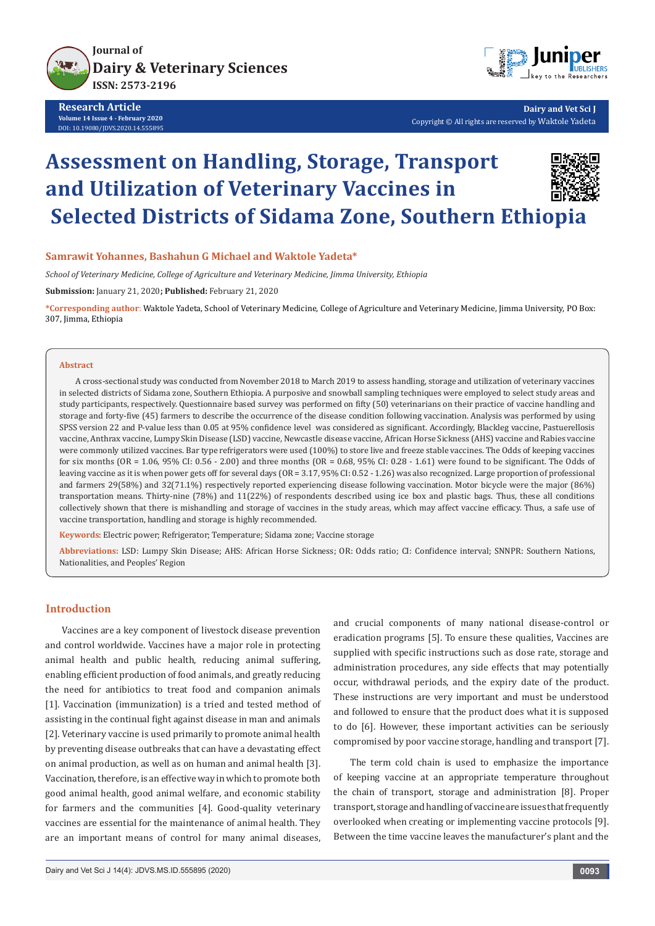

**Research Article Volume 14 Issue 4 - February 2020** DOI: [10.19080/JDVS.2020.14.55589](http://dx.doi.org/10.19080/JDVS.2020.14.555895)5



**Dairy and Vet Sci J** Copyright © All rights are reserved by Waktole Yadeta

# **Assessment on Handling, Storage, Transport and Utilization of Veterinary Vaccines in Selected Districts of Sidama Zone, Southern Ethiopia**



#### **Samrawit Yohannes, Bashahun G Michael and Waktole Yadeta\***

*School of Veterinary Medicine, College of Agriculture and Veterinary Medicine, Jimma University, Ethiopia*

**Submission:** January 21, 2020**; Published:** February 21, 2020

**\*Corresponding author**: Waktole Yadeta, School of Veterinary Medicine, College of Agriculture and Veterinary Medicine, Jimma University, PO Box: 307, Jimma, Ethiopia

#### **Abstract**

A cross-sectional study was conducted from November 2018 to March 2019 to assess handling, storage and utilization of veterinary vaccines in selected districts of Sidama zone, Southern Ethiopia. A purposive and snowball sampling techniques were employed to select study areas and study participants, respectively. Questionnaire based survey was performed on fifty (50) veterinarians on their practice of vaccine handling and storage and forty-five (45) farmers to describe the occurrence of the disease condition following vaccination. Analysis was performed by using SPSS version 22 and P-value less than 0.05 at 95% confidence level was considered as significant. Accordingly, Blackleg vaccine, Pastuerellosis vaccine, Anthrax vaccine, Lumpy Skin Disease (LSD) vaccine, Newcastle disease vaccine, African Horse Sickness (AHS) vaccine and Rabies vaccine were commonly utilized vaccines. Bar type refrigerators were used (100%) to store live and freeze stable vaccines. The Odds of keeping vaccines for six months (OR = 1.06, 95% CI: 0.56 - 2.00) and three months (OR = 0.68, 95% CI: 0.28 - 1.61) were found to be significant. The Odds of leaving vaccine as it is when power gets off for several days (OR = 3.17, 95% CI: 0.52 - 1.26) was also recognized. Large proportion of professional and farmers 29(58%) and 32(71.1%) respectively reported experiencing disease following vaccination. Motor bicycle were the major (86%) transportation means. Thirty-nine (78%) and 11(22%) of respondents described using ice box and plastic bags. Thus, these all conditions collectively shown that there is mishandling and storage of vaccines in the study areas, which may affect vaccine efficacy. Thus, a safe use of vaccine transportation, handling and storage is highly recommended.

**Keywords**: Electric power; Refrigerator; Temperature; Sidama zone; Vaccine storage

**Abbreviations:** LSD: Lumpy Skin Disease; AHS: African Horse Sickness; OR: Odds ratio; CI: Confidence interval; SNNPR: Southern Nations, Nationalities, and Peoples' Region

#### **Introduction**

Vaccines are a key component of livestock disease prevention and control worldwide. Vaccines have a major role in protecting animal health and public health, reducing animal suffering, enabling efficient production of food animals, and greatly reducing the need for antibiotics to treat food and companion animals [1]. Vaccination (immunization) is a tried and tested method of assisting in the continual fight against disease in man and animals [2]. Veterinary vaccine is used primarily to promote animal health by preventing disease outbreaks that can have a devastating effect on animal production, as well as on human and animal health [3]. Vaccination, therefore, is an effective way in which to promote both good animal health, good animal welfare, and economic stability for farmers and the communities [4]. Good-quality veterinary vaccines are essential for the maintenance of animal health. They are an important means of control for many animal diseases,

and crucial components of many national disease-control or eradication programs [5]. To ensure these qualities, Vaccines are supplied with specific instructions such as dose rate, storage and administration procedures, any side effects that may potentially occur, withdrawal periods, and the expiry date of the product. These instructions are very important and must be understood and followed to ensure that the product does what it is supposed to do [6]. However, these important activities can be seriously compromised by poor vaccine storage, handling and transport [7].

The term cold chain is used to emphasize the importance of keeping vaccine at an appropriate temperature throughout the chain of transport, storage and administration [8]. Proper transport, storage and handling of vaccine are issues that frequently overlooked when creating or implementing vaccine protocols [9]. Between the time vaccine leaves the manufacturer's plant and the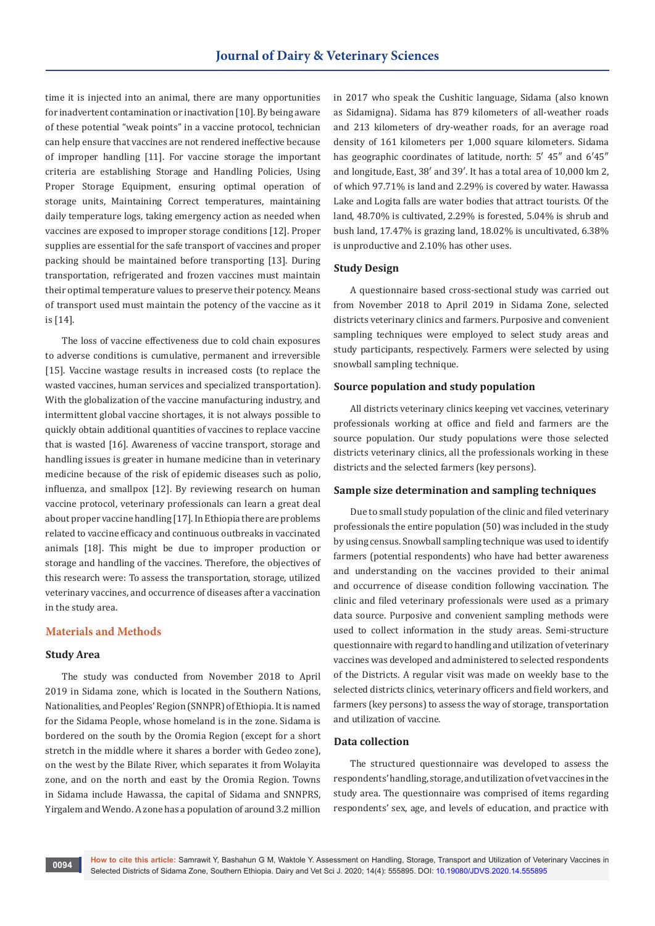time it is injected into an animal, there are many opportunities for inadvertent contamination or inactivation [10]. By being aware of these potential "weak points" in a vaccine protocol, technician can help ensure that vaccines are not rendered ineffective because of improper handling [11]. For vaccine storage the important criteria are establishing Storage and Handling Policies, Using Proper Storage Equipment, ensuring optimal operation of storage units, Maintaining Correct temperatures, maintaining daily temperature logs, taking emergency action as needed when vaccines are exposed to improper storage conditions [12]. Proper supplies are essential for the safe transport of vaccines and proper packing should be maintained before transporting [13]. During transportation, refrigerated and frozen vaccines must maintain their optimal temperature values to preserve their potency. Means of transport used must maintain the potency of the vaccine as it is [14].

The loss of vaccine effectiveness due to cold chain exposures to adverse conditions is cumulative, permanent and irreversible [15]. Vaccine wastage results in increased costs (to replace the wasted vaccines, human services and specialized transportation). With the globalization of the vaccine manufacturing industry, and intermittent global vaccine shortages, it is not always possible to quickly obtain additional quantities of vaccines to replace vaccine that is wasted [16]. Awareness of vaccine transport, storage and handling issues is greater in humane medicine than in veterinary medicine because of the risk of epidemic diseases such as polio, influenza, and smallpox [12]. By reviewing research on human vaccine protocol, veterinary professionals can learn a great deal about proper vaccine handling [17]. In Ethiopia there are problems related to vaccine efficacy and continuous outbreaks in vaccinated animals [18]. This might be due to improper production or storage and handling of the vaccines. Therefore, the objectives of this research were: To assess the transportation, storage, utilized veterinary vaccines, and occurrence of diseases after a vaccination in the study area.

#### **Materials and Methods**

## **Study Area**

The study was conducted from November 2018 to April 2019 in Sidama zone, which is located in the Southern Nations, Nationalities, and Peoples' Region (SNNPR) of Ethiopia. It is named for the Sidama People, whose homeland is in the zone. Sidama is bordered on the south by the Oromia Region (except for a short stretch in the middle where it shares a border with Gedeo zone), on the west by the Bilate River, which separates it from Wolayita zone, and on the north and east by the Oromia Region. Towns in Sidama include Hawassa, the capital of Sidama and SNNPRS, Yirgalem and Wendo. A zone has a population of around 3.2 million

in 2017 who speak the Cushitic language, Sidama (also known as Sidamigna). Sidama has 879 kilometers of all-weather roads and 213 kilometers of dry-weather roads, for an average road density of 161 kilometers per 1,000 square kilometers. Sidama has geographic coordinates of latitude, north: 5' 45" and 6'45" and longitude, East, 38′ and 39′. It has a total area of 10,000 km 2, of which 97.71% is land and 2.29% is covered by water. Hawassa Lake and Logita falls are water bodies that attract tourists. Of the land, 48.70% is cultivated, 2.29% is forested, 5.04% is shrub and bush land, 17.47% is grazing land, 18.02% is uncultivated, 6.38% is unproductive and 2.10% has other uses.

#### **Study Design**

A questionnaire based cross-sectional study was carried out from November 2018 to April 2019 in Sidama Zone, selected districts veterinary clinics and farmers. Purposive and convenient sampling techniques were employed to select study areas and study participants, respectively. Farmers were selected by using snowball sampling technique.

#### **Source population and study population**

All districts veterinary clinics keeping vet vaccines, veterinary professionals working at office and field and farmers are the source population. Our study populations were those selected districts veterinary clinics, all the professionals working in these districts and the selected farmers (key persons).

#### **Sample size determination and sampling techniques**

Due to small study population of the clinic and filed veterinary professionals the entire population (50) was included in the study by using census. Snowball sampling technique was used to identify farmers (potential respondents) who have had better awareness and understanding on the vaccines provided to their animal and occurrence of disease condition following vaccination. The clinic and filed veterinary professionals were used as a primary data source. Purposive and convenient sampling methods were used to collect information in the study areas. Semi-structure questionnaire with regard to handling and utilization of veterinary vaccines was developed and administered to selected respondents of the Districts. A regular visit was made on weekly base to the selected districts clinics, veterinary officers and field workers, and farmers (key persons) to assess the way of storage, transportation and utilization of vaccine.

#### **Data collection**

The structured questionnaire was developed to assess the respondents' handling, storage, and utilization of vet vaccines in the study area. The questionnaire was comprised of items regarding respondents' sex, age, and levels of education, and practice with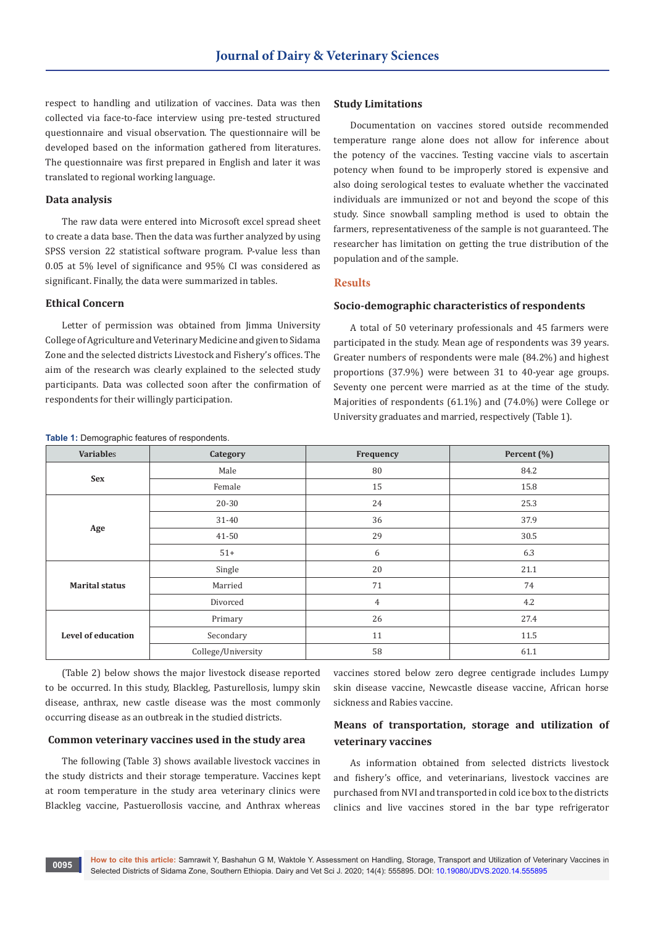respect to handling and utilization of vaccines. Data was then collected via face-to-face interview using pre-tested structured questionnaire and visual observation. The questionnaire will be developed based on the information gathered from literatures. The questionnaire was first prepared in English and later it was translated to regional working language.

#### **Data analysis**

The raw data were entered into Microsoft excel spread sheet to create a data base. Then the data was further analyzed by using SPSS version 22 statistical software program. P-value less than 0.05 at 5% level of significance and 95% CI was considered as significant. Finally, the data were summarized in tables.

#### **Ethical Concern**

Letter of permission was obtained from Jimma University College of Agriculture and Veterinary Medicine and given to Sidama Zone and the selected districts Livestock and Fishery's offices. The aim of the research was clearly explained to the selected study participants. Data was collected soon after the confirmation of respondents for their willingly participation.

#### **Study Limitations**

Documentation on vaccines stored outside recommended temperature range alone does not allow for inference about the potency of the vaccines. Testing vaccine vials to ascertain potency when found to be improperly stored is expensive and also doing serological testes to evaluate whether the vaccinated individuals are immunized or not and beyond the scope of this study. Since snowball sampling method is used to obtain the farmers, representativeness of the sample is not guaranteed. The researcher has limitation on getting the true distribution of the population and of the sample.

#### **Results**

## **Socio-demographic characteristics of respondents**

A total of 50 veterinary professionals and 45 farmers were participated in the study. Mean age of respondents was 39 years. Greater numbers of respondents were male (84.2%) and highest proportions (37.9%) were between 31 to 40-year age groups. Seventy one percent were married as at the time of the study. Majorities of respondents (61.1%) and (74.0%) were College or University graduates and married, respectively (Table 1).

| <b>Variables</b>          | Category           | Frequency      | Percent (%) |
|---------------------------|--------------------|----------------|-------------|
| <b>Sex</b>                | Male               | 80             | 84.2        |
|                           | Female             | 15             | 15.8        |
| Age                       | 20-30              | 24             | 25.3        |
|                           | $31 - 40$          | 36             | 37.9        |
|                           | 41-50              | 29             | 30.5        |
|                           | $51+$              | 6              | 6.3         |
| <b>Marital status</b>     | Single             | 20             | 21.1        |
|                           | Married            | 71             | 74          |
|                           | Divorced           | $\overline{4}$ | 4.2         |
| <b>Level of education</b> | Primary            | 26             | 27.4        |
|                           | Secondary          | 11             | 11.5        |
|                           | College/University | 58             | 61.1        |

**Table 1:** Demographic features of respondents.

(Table 2) below shows the major livestock disease reported to be occurred. In this study, Blackleg, Pasturellosis, lumpy skin disease, anthrax, new castle disease was the most commonly occurring disease as an outbreak in the studied districts.

#### **Common veterinary vaccines used in the study area**

The following (Table 3) shows available livestock vaccines in the study districts and their storage temperature. Vaccines kept at room temperature in the study area veterinary clinics were Blackleg vaccine, Pastuerollosis vaccine, and Anthrax whereas

vaccines stored below zero degree centigrade includes Lumpy skin disease vaccine, Newcastle disease vaccine, African horse sickness and Rabies vaccine.

# **Means of transportation, storage and utilization of veterinary vaccines**

As information obtained from selected districts livestock and fishery's office, and veterinarians, livestock vaccines are purchased from NVI and transported in cold ice box to the districts clinics and live vaccines stored in the bar type refrigerator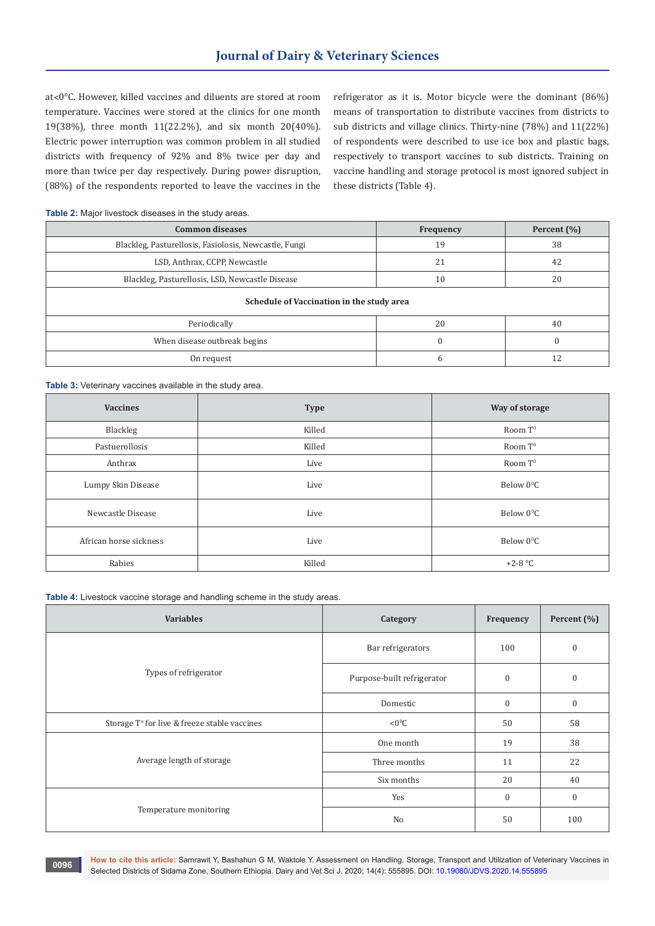at˂0°C. However, killed vaccines and diluents are stored at room temperature. Vaccines were stored at the clinics for one month 19(38%), three month 11(22.2%), and six month 20(40%). Electric power interruption was common problem in all studied districts with frequency of 92% and 8% twice per day and more than twice per day respectively. During power disruption, (88%) of the respondents reported to leave the vaccines in the refrigerator as it is. Motor bicycle were the dominant (86%) means of transportation to distribute vaccines from districts to sub districts and village clinics. Thirty-nine (78%) and 11(22%) of respondents were described to use ice box and plastic bags, respectively to transport vaccines to sub districts. Training on vaccine handling and storage protocol is most ignored subject in these districts (Table 4).

#### **Table 2:** Major livestock diseases in the study areas.

| <b>Common diseases</b>                                | Frequency  | Percent $(\% )$ |  |
|-------------------------------------------------------|------------|-----------------|--|
| Blackleg, Pasturellosis, Fasiolosis, Newcastle, Fungi | 19         | 38              |  |
| LSD, Anthrax, CCPP, Newcastle                         | 21         | 42              |  |
| Blackleg, Pasturellosis, LSD, Newcastle Disease       | 10         | 20              |  |
| Schedule of Vaccination in the study area             |            |                 |  |
| Periodically                                          | 20         | 40              |  |
| When disease outbreak begins                          | $\sqrt{ }$ | $\Omega$        |  |
| On request                                            |            |                 |  |

**Table 3:** Veterinary vaccines available in the study area.

| <b>Vaccines</b>        | <b>Type</b> | Way of storage         |
|------------------------|-------------|------------------------|
| Blackleg               | Killed      | Room T <sup>0</sup>    |
| Pastuerollosis         | Killed      | Room $T^0$             |
| Anthrax                | Live        | Room $T^0$             |
| Lumpy Skin Disease     | Live        | Below 0 <sup>o</sup> C |
| Newcastle Disease      | Live        | Below 0 <sup>o</sup> C |
| African horse sickness | Live        | Below 0 <sup>o</sup> C |
| Rabies                 | Killed      | $+2-8$ °C              |

**Table 4:** Livestock vaccine storage and handling scheme in the study areas.

| <b>Variables</b>                             | Category                   | Frequency    | Percent (%)      |
|----------------------------------------------|----------------------------|--------------|------------------|
|                                              | Bar refrigerators          | 100          | $\boldsymbol{0}$ |
| Types of refrigerator                        | Purpose-built refrigerator | $\mathbf{0}$ | $\boldsymbol{0}$ |
|                                              | Domestic                   | $\mathbf{0}$ | $\boldsymbol{0}$ |
| Storage T° for live & freeze stable vaccines | $< 0^0C$                   | 50           | 58               |
|                                              | One month                  | 19           | 38               |
| Average length of storage                    | Three months               | 11           | 22               |
|                                              | Six months                 | 20           | 40               |
|                                              | Yes                        | $\mathbf{0}$ | $\boldsymbol{0}$ |
| Temperature monitoring                       | No                         | 50           | 100              |

**How to cite this article:** Samrawit Y, Bashahun G M, Waktole Y. Assessment on Handling, Storage, Transport and Utilization of Veterinary Vaccines in Selected Districts of Sidama Zone, Southern Ethiopia. Dairy and Vet Sci J. 2020; 14(4): 555895. DOI: [10.19080/JDVS.2020.14.555895](http://dx.doi.org/10.19080/JDVS.2020.14.555895) **<sup>0096</sup>**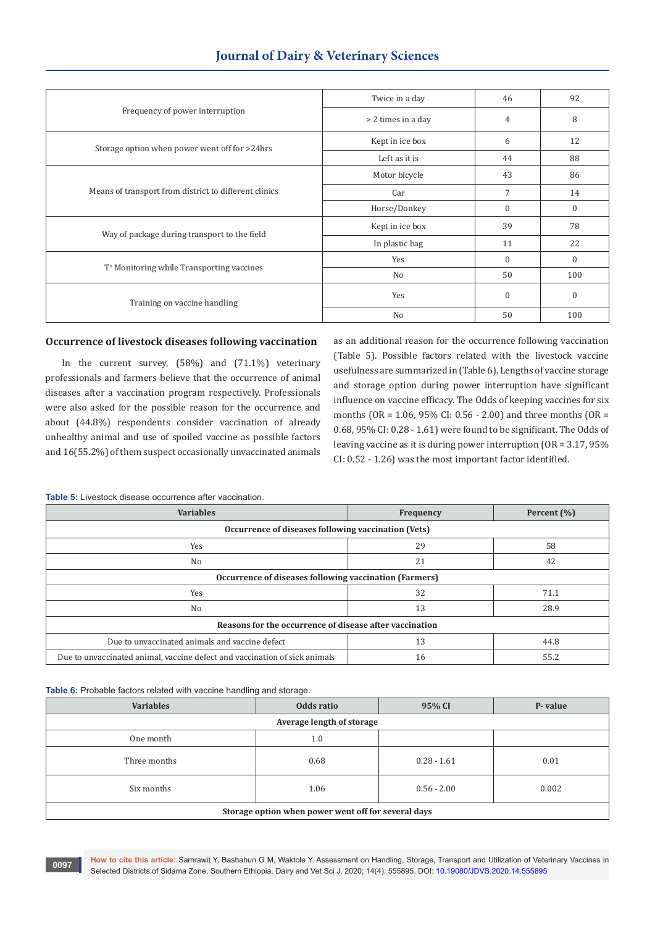# **Journal of Dairy & Veterinary Sciences**

|                                                       | Twice in a day     | 46       | 92           |
|-------------------------------------------------------|--------------------|----------|--------------|
| Frequency of power interruption                       | > 2 times in a day | 4        | 8            |
| Storage option when power went off for >24hrs         | Kept in ice box    | 6        | 12           |
|                                                       | Left as it is      | 44       | 88           |
| Means of transport from district to different clinics | Motor bicycle      | 43       | 86           |
|                                                       | Car                | 7        | 14           |
|                                                       | Horse/Donkey       | $\Omega$ | $\mathbf{0}$ |
| Way of package during transport to the field          | Kept in ice box    | 39       | 78           |
|                                                       | In plastic bag     | 11       | 22           |
| T <sup>o</sup> Monitoring while Transporting vaccines | Yes                | $\Omega$ | $\Omega$     |
|                                                       | No                 | 50       | 100          |
| Training on vaccine handling                          | Yes                | $\Omega$ | $\mathbf{0}$ |
|                                                       | No                 | 50       | 100          |

#### **Occurrence of livestock diseases following vaccination**

In the current survey, (58%) and (71.1%) veterinary professionals and farmers believe that the occurrence of animal diseases after a vaccination program respectively. Professionals were also asked for the possible reason for the occurrence and about (44.8%) respondents consider vaccination of already unhealthy animal and use of spoiled vaccine as possible factors and 16(55.2%) of them suspect occasionally unvaccinated animals as an additional reason for the occurrence following vaccination (Table 5). Possible factors related with the livestock vaccine usefulness are summarized in (Table 6). Lengths of vaccine storage and storage option during power interruption have significant influence on vaccine efficacy. The Odds of keeping vaccines for six months (OR = 1.06, 95% CI: 0.56 - 2.00) and three months (OR = 0.68, 95% CI: 0.28 - 1.61) were found to be significant. The Odds of leaving vaccine as it is during power interruption (OR = 3.17, 95% CI: 0.52 - 1.26) was the most important factor identified.

**Table 5:** Livestock disease occurrence after vaccination.

| <b>Variables</b>                                                           | Frequency | Percent $(\% )$ |  |
|----------------------------------------------------------------------------|-----------|-----------------|--|
| Occurrence of diseases following vaccination (Vets)                        |           |                 |  |
| Yes                                                                        | 29        | 58              |  |
| No                                                                         | 21        | 42              |  |
| Occurrence of diseases following vaccination (Farmers)                     |           |                 |  |
| Yes                                                                        | 32        | 71.1            |  |
| N <sub>0</sub>                                                             | 13        | 28.9            |  |
| Reasons for the occurrence of disease after vaccination                    |           |                 |  |
| Due to unvaccinated animals and vaccine defect                             | 13        | 44.8            |  |
| Due to unvaccinated animal, vaccine defect and vaccination of sick animals | 16        | 55.2            |  |

**Table 6:** Probable factors related with vaccine handling and storage.

| <b>Variables</b>                                    | Odds ratio | 95% CI        | P-value |
|-----------------------------------------------------|------------|---------------|---------|
| Average length of storage                           |            |               |         |
| One month                                           | 1.0        |               |         |
| Three months                                        | 0.68       | $0.28 - 1.61$ | 0.01    |
| Six months                                          | 1.06       | $0.56 - 2.00$ | 0.002   |
| Storage option when power went off for several days |            |               |         |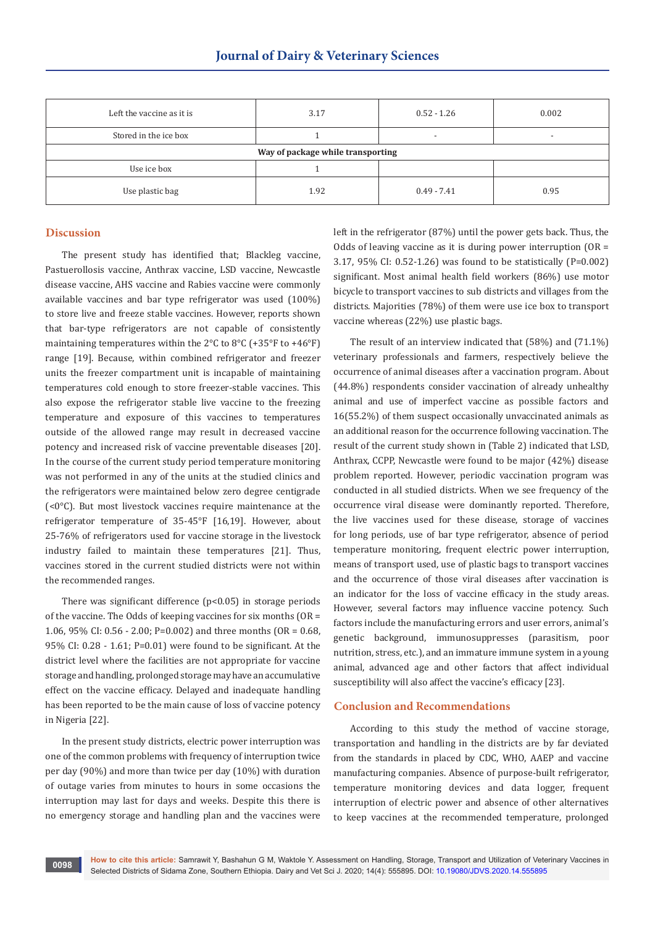| Left the vaccine as it is         | 3.17 | $0.52 - 1.26$            | 0.002                    |  |
|-----------------------------------|------|--------------------------|--------------------------|--|
| Stored in the ice box             |      | $\overline{\phantom{0}}$ | $\overline{\phantom{0}}$ |  |
| Way of package while transporting |      |                          |                          |  |
| Use ice box                       |      |                          |                          |  |
| Use plastic bag                   | 1.92 | $0.49 - 7.41$            | 0.95                     |  |

#### **Discussion**

The present study has identified that; Blackleg vaccine, Pastuerollosis vaccine, Anthrax vaccine, LSD vaccine, Newcastle disease vaccine, AHS vaccine and Rabies vaccine were commonly available vaccines and bar type refrigerator was used (100%) to store live and freeze stable vaccines. However, reports shown that bar-type refrigerators are not capable of consistently maintaining temperatures within the 2°C to 8°C (+35°F to +46°F) range [19]. Because, within combined refrigerator and freezer units the freezer compartment unit is incapable of maintaining temperatures cold enough to store freezer-stable vaccines. This also expose the refrigerator stable live vaccine to the freezing temperature and exposure of this vaccines to temperatures outside of the allowed range may result in decreased vaccine potency and increased risk of vaccine preventable diseases [20]. In the course of the current study period temperature monitoring was not performed in any of the units at the studied clinics and the refrigerators were maintained below zero degree centigrade (<0°C). But most livestock vaccines require maintenance at the refrigerator temperature of 35-45°F [16,19]. However, about 25-76% of refrigerators used for vaccine storage in the livestock industry failed to maintain these temperatures [21]. Thus, vaccines stored in the current studied districts were not within the recommended ranges.

There was significant difference (p<0.05) in storage periods of the vaccine. The Odds of keeping vaccines for six months (OR = 1.06, 95% CI: 0.56 - 2.00; P=0.002) and three months (OR = 0.68, 95% CI: 0.28 - 1.61; P=0.01) were found to be significant. At the district level where the facilities are not appropriate for vaccine storage and handling, prolonged storage may have an accumulative effect on the vaccine efficacy. Delayed and inadequate handling has been reported to be the main cause of loss of vaccine potency in Nigeria [22].

In the present study districts, electric power interruption was one of the common problems with frequency of interruption twice per day (90%) and more than twice per day (10%) with duration of outage varies from minutes to hours in some occasions the interruption may last for days and weeks. Despite this there is no emergency storage and handling plan and the vaccines were

left in the refrigerator (87%) until the power gets back. Thus, the Odds of leaving vaccine as it is during power interruption  $(OR =$ 3.17, 95% CI: 0.52-1.26) was found to be statistically (P=0.002) significant. Most animal health field workers (86%) use motor bicycle to transport vaccines to sub districts and villages from the districts. Majorities (78%) of them were use ice box to transport vaccine whereas (22%) use plastic bags.

The result of an interview indicated that (58%) and (71.1%) veterinary professionals and farmers, respectively believe the occurrence of animal diseases after a vaccination program. About (44.8%) respondents consider vaccination of already unhealthy animal and use of imperfect vaccine as possible factors and 16(55.2%) of them suspect occasionally unvaccinated animals as an additional reason for the occurrence following vaccination. The result of the current study shown in (Table 2) indicated that LSD, Anthrax, CCPP, Newcastle were found to be major (42%) disease problem reported. However, periodic vaccination program was conducted in all studied districts. When we see frequency of the occurrence viral disease were dominantly reported. Therefore, the live vaccines used for these disease, storage of vaccines for long periods, use of bar type refrigerator, absence of period temperature monitoring, frequent electric power interruption, means of transport used, use of plastic bags to transport vaccines and the occurrence of those viral diseases after vaccination is an indicator for the loss of vaccine efficacy in the study areas. However, several factors may influence vaccine potency. Such factors include the manufacturing errors and user errors, animal's genetic background, immunosuppresses (parasitism, poor nutrition, stress, etc.), and an immature immune system in a young animal, advanced age and other factors that affect individual susceptibility will also affect the vaccine's efficacy [23].

#### **Conclusion and Recommendations**

According to this study the method of vaccine storage, transportation and handling in the districts are by far deviated from the standards in placed by CDC, WHO, AAEP and vaccine manufacturing companies. Absence of purpose-built refrigerator, temperature monitoring devices and data logger, frequent interruption of electric power and absence of other alternatives to keep vaccines at the recommended temperature, prolonged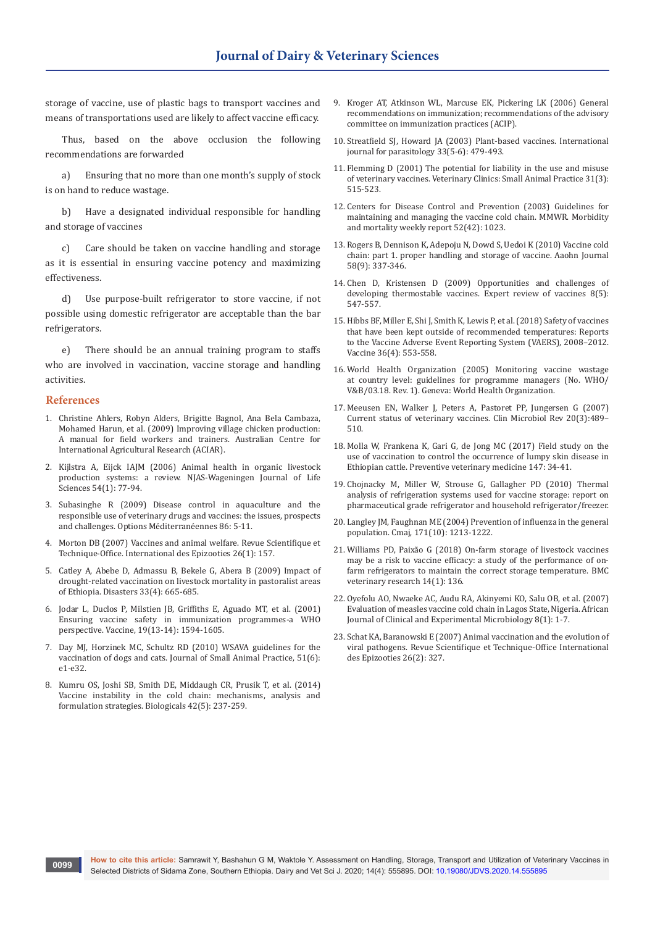storage of vaccine, use of plastic bags to transport vaccines and means of transportations used are likely to affect vaccine efficacy.

Thus, based on the above occlusion the following recommendations are forwarded

a) Ensuring that no more than one month's supply of stock is on hand to reduce wastage.

b) Have a designated individual responsible for handling and storage of vaccines

c) Care should be taken on vaccine handling and storage as it is essential in ensuring vaccine potency and maximizing effectiveness.

d) Use purpose-built refrigerator to store vaccine, if not possible using domestic refrigerator are acceptable than the bar refrigerators.

e) There should be an annual training program to staffs who are involved in vaccination, vaccine storage and handling activities.

#### **References**

- 1. [Christine Ahlers, Robyn Alders, Brigitte Bagnol, Ana Bela Cambaza,](http://www.fao.org/sustainable-food-value-chains/training-and-learning-center/details-materials/en/c/276919/)  [Mohamed Harun, et al. \(2009\) Improving village chicken production:](http://www.fao.org/sustainable-food-value-chains/training-and-learning-center/details-materials/en/c/276919/)  [A manual for field workers and trainers. Australian Centre for](http://www.fao.org/sustainable-food-value-chains/training-and-learning-center/details-materials/en/c/276919/)  [International Agricultural Research \(ACIAR\).](http://www.fao.org/sustainable-food-value-chains/training-and-learning-center/details-materials/en/c/276919/)
- 2. [Kijlstra A, Eijck IAJM \(2006\) Animal health in organic livestock](https://www.sciencedirect.com/science/article/pii/S1573521406800059)  [production systems: a review. NJAS-Wageningen Journal of Life](https://www.sciencedirect.com/science/article/pii/S1573521406800059)  [Sciences 54\(1\): 77-94.](https://www.sciencedirect.com/science/article/pii/S1573521406800059)
- 3. Subasinghe R (2009) Disease control in aquaculture and the responsible use of veterinary drugs and vaccines: the issues, prospects and challenges. Options Méditerranéennes 86: 5-11.
- 4. Morton DB (2007) Vaccines and animal welfare. Revue Scientifique et Technique-Office. International des Epizooties 26(1): 157.
- 5. [Catley A, Abebe D, Admassu B, Bekele G, Abera B \(2009\) Impact of](https://pubmed.ncbi.nlm.nih.gov/19260936/)  [drought-related vaccination on livestock mortality in pastoralist areas](https://pubmed.ncbi.nlm.nih.gov/19260936/)  [of Ethiopia. Disasters 33\(4\): 665-685.](https://pubmed.ncbi.nlm.nih.gov/19260936/)
- 6. [Jodar L, Duclos P, Milstien JB, Griffiths E, Aguado MT, et al. \(2001\)](https://pubmed.ncbi.nlm.nih.gov/11166881-ensuring-vaccine-safety-in-immunization-programmes-a-who-perspective/)  [Ensuring vaccine safety in immunization programmes-a WHO](https://pubmed.ncbi.nlm.nih.gov/11166881-ensuring-vaccine-safety-in-immunization-programmes-a-who-perspective/)  [perspective. Vaccine, 19\(13-14\): 1594-1605.](https://pubmed.ncbi.nlm.nih.gov/11166881-ensuring-vaccine-safety-in-immunization-programmes-a-who-perspective/)
- 7. Day MJ, Horzinek MC, Schultz RD (2010) WSAVA guidelines for the vaccination of dogs and cats. Journal of Small Animal Practice, 51(6): e1-e32.
- 8. [Kumru OS, Joshi SB, Smith DE, Middaugh CR, Prusik T, et al. \(2014\)](https://www.sciencedirect.com/science/article/pii/S1045105614000487)  [Vaccine instability in the cold chain: mechanisms, analysis and](https://www.sciencedirect.com/science/article/pii/S1045105614000487)  [formulation strategies. Biologicals 42\(5\): 237-259.](https://www.sciencedirect.com/science/article/pii/S1045105614000487)
- 9. Kroger AT, Atkinson WL, Marcuse EK, Pickering LK (2006) General recommendations on immunization; recommendations of the advisory committee on immunization practices (ACIP).
- 10. [Streatfield SJ, Howard JA \(2003\) Plant-based vaccines. International](https://www.sciencedirect.com/science/article/abs/pii/S0020751903000523)  [journal for parasitology 33\(5-6\): 479-493.](https://www.sciencedirect.com/science/article/abs/pii/S0020751903000523)
- 11. [Flemming D \(2001\) The potential for liability in the use and misuse](https://pubmed.ncbi.nlm.nih.gov/11446101-the-potential-for-liability-in-the-use-and-misuse-of-veterinary-vaccines/)  [of veterinary vaccines. Veterinary Clinics: Small Animal Practice 31\(3\):](https://pubmed.ncbi.nlm.nih.gov/11446101-the-potential-for-liability-in-the-use-and-misuse-of-veterinary-vaccines/)  [515-523.](https://pubmed.ncbi.nlm.nih.gov/11446101-the-potential-for-liability-in-the-use-and-misuse-of-veterinary-vaccines/)
- 12. Centers for Disease Control and Prevention (2003) Guidelines for maintaining and managing the vaccine cold chain. MMWR. Morbidity and mortality weekly report 52(42): 1023.
- 13. [Rogers B, Dennison K, Adepoju N, Dowd S, Uedoi K \(2010\) Vaccine cold](https://pubmed.ncbi.nlm.nih.gov/20704122-vaccine-cold-chain-part-1-proper-handling-and-storage-of-vaccine/)  [chain: part 1. proper handling and storage of vaccine. Aaohn Journal](https://pubmed.ncbi.nlm.nih.gov/20704122-vaccine-cold-chain-part-1-proper-handling-and-storage-of-vaccine/)  [58\(9\): 337-346.](https://pubmed.ncbi.nlm.nih.gov/20704122-vaccine-cold-chain-part-1-proper-handling-and-storage-of-vaccine/)
- 14. Chen D, Kristensen D (2009) Opportunities and challenges of developing thermostable vaccines. Expert review of vaccines 8(5): 547-557.
- 15. [Hibbs BF, Miller E, Shi J, Smith K, Lewis P, et al. \(2018\) Safety of vaccines](https://www.sciencedirect.com/science/article/pii/S0264410X17317267)  [that have been kept outside of recommended temperatures: Reports](https://www.sciencedirect.com/science/article/pii/S0264410X17317267)  [to the Vaccine Adverse Event Reporting System \(VAERS\), 2008–2012.](https://www.sciencedirect.com/science/article/pii/S0264410X17317267)  [Vaccine 36\(4\): 553-558.](https://www.sciencedirect.com/science/article/pii/S0264410X17317267)
- 16. World Health Organization (2005) Monitoring vaccine wastage at country level: guidelines for programme managers (No. WHO/ V&B/03.18. Rev. 1). Geneva: World Health Organization.
- 17. [Meeusen EN, Walker J, Peters A, Pastoret PP, Jungersen G \(2007\)](https://cmr.asm.org/content/20/3/489)  [Current status of veterinary vaccines. Clin Microbiol Rev 20\(3\):489–](https://cmr.asm.org/content/20/3/489) [510.](https://cmr.asm.org/content/20/3/489)
- 18. [Molla W, Frankena K, Gari G, de Jong MC \(2017\) Field study on the](https://www.sciencedirect.com/science/article/pii/S0167587717301605?via%3Dihub)  [use of vaccination to control the occurrence of lumpy skin disease in](https://www.sciencedirect.com/science/article/pii/S0167587717301605?via%3Dihub)  [Ethiopian cattle. Preventive veterinary medicine 147: 34-41.](https://www.sciencedirect.com/science/article/pii/S0167587717301605?via%3Dihub)
- 19. Chojnacky M, Miller W, Strouse G, Gallagher PD (2010) Thermal analysis of refrigeration systems used for vaccine storage: report on pharmaceutical grade refrigerator and household refrigerator/freezer.
- 20. [Langley JM, Faughnan ME \(2004\) Prevention of influenza in the general](https://pubmed.ncbi.nlm.nih.gov/15534315-prevention-of-influenza-in-the-general-population/)  [population. Cmaj, 171\(10\): 1213-1222.](https://pubmed.ncbi.nlm.nih.gov/15534315-prevention-of-influenza-in-the-general-population/)
- 21. [Williams PD, Paixão G \(2018\) On-farm storage of livestock vaccines](https://www.ncbi.nlm.nih.gov/pmc/articles/PMC5907741/)  [may be a risk to vaccine efficacy: a study of the performance of on](https://www.ncbi.nlm.nih.gov/pmc/articles/PMC5907741/)[farm refrigerators to maintain the correct storage temperature. BMC](https://www.ncbi.nlm.nih.gov/pmc/articles/PMC5907741/)  [veterinary research 14\(1\): 136.](https://www.ncbi.nlm.nih.gov/pmc/articles/PMC5907741/)
- 22. [Oyefolu AO, Nwaeke AC, Audu RA, Akinyemi KO, Salu OB, et al. \(2007\)](https://www.ajol.info/index.php/ajcem/article/view/7457)  [Evaluation of measles vaccine cold chain in Lagos State, Nigeria. African](https://www.ajol.info/index.php/ajcem/article/view/7457)  [Journal of Clinical and Experimental Microbiology 8\(1\): 1-7.](https://www.ajol.info/index.php/ajcem/article/view/7457)
- 23. Schat KA, Baranowski E (2007) Animal vaccination and the evolution of viral pathogens. Revue Scientifique et Technique-Office International des Epizooties 26(2): 327.